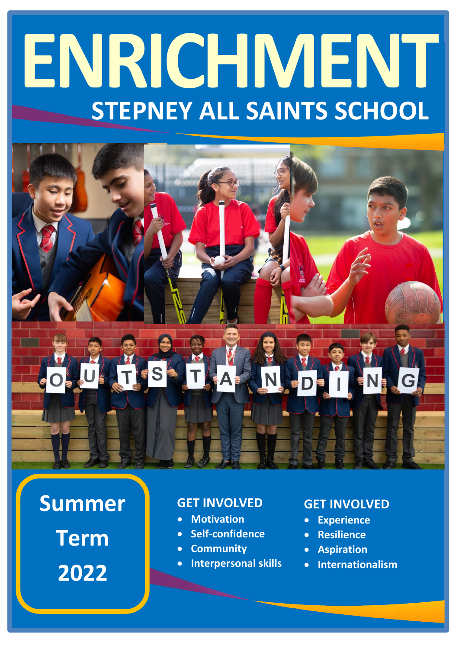# **ENRICHMENT STEPNEY ALL SAINTS SCHOOL**

# **Summer**

**Term 2022**

#### **GET INVOLVED**

- **Motivation**
- **Self-confidence**
- **Community**
- **Interpersonal skills**

#### **GET INVOLVED**

- **Experience**
- **Resilience**
- **Aspiration**
- **Internationalism**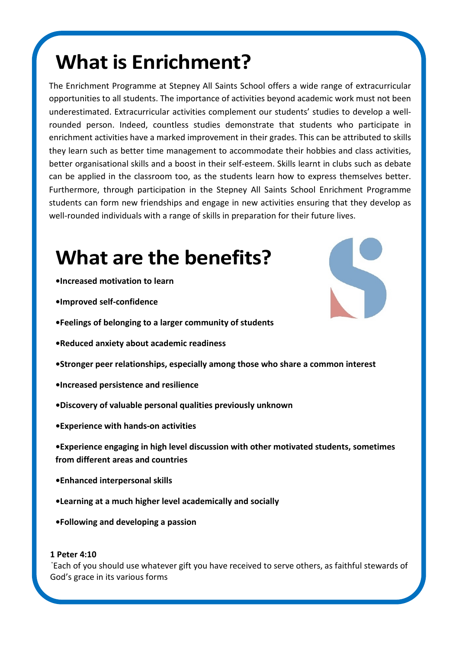# **What is Enrichment?**

The Enrichment Programme at Stepney All Saints School offers a wide range of extracurricular opportunities to all students. The importance of activities beyond academic work must not been underestimated. Extracurricular activities complement our students' studies to develop a wellrounded person. Indeed, countless studies demonstrate that students who participate in enrichment activities have a marked improvement in their grades. This can be attributed to skills they learn such as better time management to accommodate their hobbies and class activities, better organisational skills and a boost in their self-esteem. Skills learnt in clubs such as debate can be applied in the classroom too, as the students learn how to express themselves better. Furthermore, through participation in the Stepney All Saints School Enrichment Programme students can form new friendships and engage in new activities ensuring that they develop as well-rounded individuals with a range of skills in preparation for their future lives.

## **What are the benefits?**

- **•Increased motivation to learn**
- **•Improved self-confidence**
- **•Feelings of belonging to a larger community of students**
- **•Reduced anxiety about academic readiness**
- **•Stronger peer relationships, especially among those who share a common interest**
- **•Increased persistence and resilience**
- **•Discovery of valuable personal qualities previously unknown**
- **•Experience with hands-on activities**
- **•Experience engaging in high level discussion with other motivated students, sometimes from different areas and countries**
- **•Enhanced interpersonal skills**
- **•Learning at a much higher level academically and socially**
- **•Following and developing a passion**

**1 Peter 4:10** "Each of you should use whatever gift you have received to serve others, as faithful stewards of God's grace in its various forms

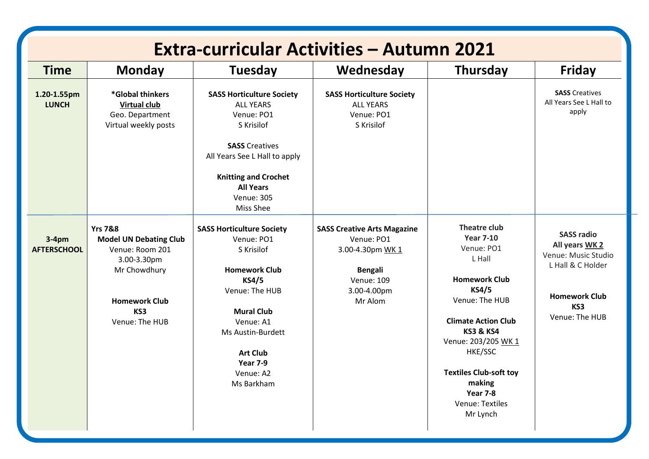| <b>Extra-curricular Activities - Autumn 2021</b> |                                                                                                                                                        |                                                                                                                                                                                                                                                |                                                                                                                                       |                                                                                                                                                                                                                                                                                                         |                                                                                                                                  |
|--------------------------------------------------|--------------------------------------------------------------------------------------------------------------------------------------------------------|------------------------------------------------------------------------------------------------------------------------------------------------------------------------------------------------------------------------------------------------|---------------------------------------------------------------------------------------------------------------------------------------|---------------------------------------------------------------------------------------------------------------------------------------------------------------------------------------------------------------------------------------------------------------------------------------------------------|----------------------------------------------------------------------------------------------------------------------------------|
| <b>Time</b>                                      | <b>Monday</b>                                                                                                                                          | <b>Tuesday</b>                                                                                                                                                                                                                                 | Wednesday                                                                                                                             | <b>Thursday</b>                                                                                                                                                                                                                                                                                         | Friday                                                                                                                           |
| 1.20-1.55pm<br><b>LUNCH</b>                      | *Global thinkers<br><b>Virtual club</b><br>Geo. Department<br>Virtual weekly posts                                                                     | <b>SASS Horticulture Society</b><br><b>ALL YEARS</b><br>Venue: PO1<br>S Krisilof<br><b>SASS Creatives</b><br>All Years See L Hall to apply<br><b>Knitting and Crochet</b><br><b>All Years</b>                                                  | <b>SASS Horticulture Society</b><br><b>ALL YEARS</b><br>Venue: PO1<br>S Krisilof                                                      |                                                                                                                                                                                                                                                                                                         | <b>SASS Creatives</b><br>All Years See L Hall to<br>apply                                                                        |
|                                                  |                                                                                                                                                        | <b>Venue: 305</b><br>Miss Shee                                                                                                                                                                                                                 |                                                                                                                                       |                                                                                                                                                                                                                                                                                                         |                                                                                                                                  |
| $3-4pm$<br><b>AFTERSCHOOL</b>                    | <b>Yrs 7&amp;8</b><br><b>Model UN Debating Club</b><br>Venue: Room 201<br>3.00-3.30pm<br>Mr Chowdhury<br><b>Homework Club</b><br>KS3<br>Venue: The HUB | <b>SASS Horticulture Society</b><br>Venue: PO1<br>S Krisilof<br><b>Homework Club</b><br><b>KS4/5</b><br>Venue: The HUB<br><b>Mural Club</b><br>Venue: A1<br>Ms Austin-Burdett<br><b>Art Club</b><br><b>Year 7-9</b><br>Venue: A2<br>Ms Barkham | <b>SASS Creative Arts Magazine</b><br>Venue: PO1<br>3.00-4.30pm WK 1<br><b>Bengali</b><br><b>Venue: 109</b><br>3.00-4.00pm<br>Mr Alom | <b>Theatre club</b><br><b>Year 7-10</b><br>Venue: PO1<br>L Hall<br><b>Homework Club</b><br><b>KS4/5</b><br>Venue: The HUB<br><b>Climate Action Club</b><br><b>KS3 &amp; KS4</b><br>Venue: 203/205 WK 1<br>HKE/SSC<br><b>Textiles Club-soft toy</b><br>making<br>Year 7-8<br>Venue: Textiles<br>Mr Lynch | <b>SASS radio</b><br>All years WK 2<br>Venue: Music Studio<br>L Hall & C Holder<br><b>Homework Club</b><br>KS3<br>Venue: The HUB |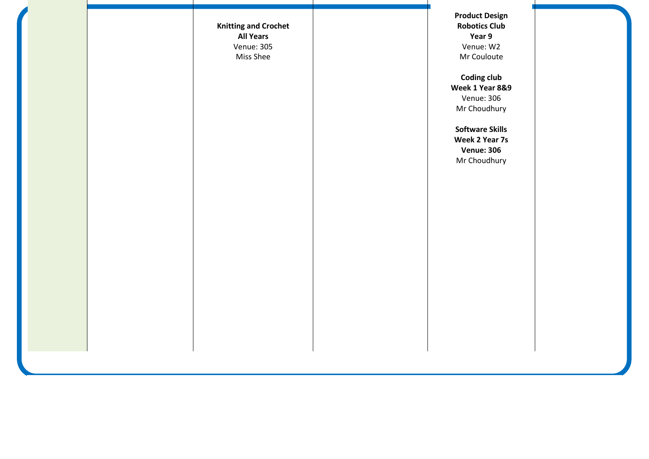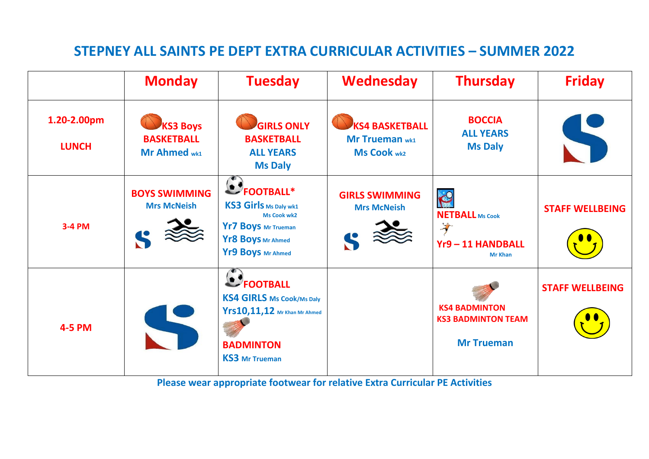### **STEPNEY ALL SAINTS PE DEPT EXTRA CURRICULAR ACTIVITIES – SUMMER 2022**

|                             | <b>Monday</b>                                        | <b>Tuesday</b>                                                                                                                           | <b>Wednesday</b>                                                     | <b>Thursday</b>                                                        | <b>Friday</b>          |
|-----------------------------|------------------------------------------------------|------------------------------------------------------------------------------------------------------------------------------------------|----------------------------------------------------------------------|------------------------------------------------------------------------|------------------------|
| 1.20-2.00pm<br><b>LUNCH</b> | <b>KS3 Boys</b><br><b>BASKETBALL</b><br>Mr Ahmed wk1 | <b>GIRLS ONLY</b><br><b>BASKETBALL</b><br><b>ALL YEARS</b><br><b>Ms Daly</b>                                                             | <b>KS4 BASKETBALL</b><br><b>Mr Trueman wk1</b><br><b>Ms Cook wk2</b> | <b>BOCCIA</b><br><b>ALL YEARS</b><br><b>Ms Daly</b>                    |                        |
| <b>3-4 PM</b>               | <b>BOYS SWIMMING</b><br><b>Mrs McNeish</b>           | <b>DEOOTBALL*</b><br><b>KS3 Girls Ms Daly wk1</b><br><b>Ms Cook wk2</b><br>Yr7 Boys Mr Trueman<br>Yr8 Boys Mr Ahmed<br>Yr9 Boys Mr Ahmed | <b>GIRLS SWIMMING</b><br><b>Mrs McNeish</b>                          | R<br><b>NETBALL Ms Cook</b><br>芝<br>Yr9-11 HANDBALL<br><b>Mr Khan</b>  | <b>STAFF WELLBEING</b> |
| <b>4-5 PM</b>               |                                                      | FOOTBALL<br><b>KS4 GIRLS Ms Cook/Ms Daly</b><br>Yrs10,11,12 Mr Khan Mr Ahmed<br><b>BADMINTON</b><br><b>KS3</b> Mr Trueman                |                                                                      | <b>KS4 BADMINTON</b><br><b>KS3 BADMINTON TEAM</b><br><b>Mr Trueman</b> | <b>STAFF WELLBEING</b> |

**Please wear appropriate footwear for relative Extra Curricular PE Activities**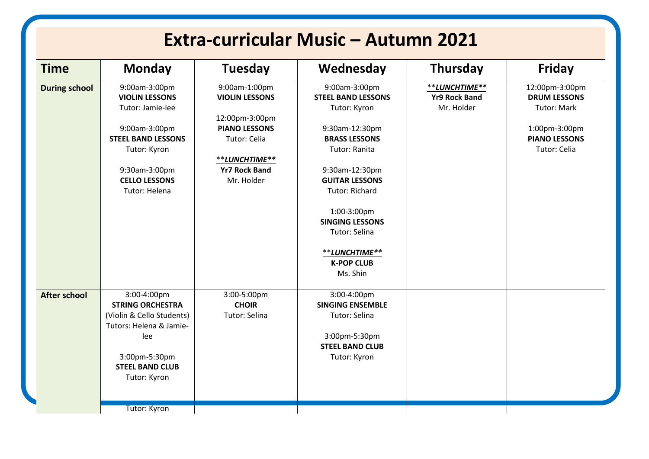|                      | <b>Monday</b>                                                                                                                                                                      | <b>Tuesday</b>                                                                                                                                          | Wednesday                                                                                                                                                                                                                          | <b>Thursday</b>                                     | <b>Friday</b>                                                                                                        |
|----------------------|------------------------------------------------------------------------------------------------------------------------------------------------------------------------------------|---------------------------------------------------------------------------------------------------------------------------------------------------------|------------------------------------------------------------------------------------------------------------------------------------------------------------------------------------------------------------------------------------|-----------------------------------------------------|----------------------------------------------------------------------------------------------------------------------|
| <b>During school</b> | 9:00am-3:00pm<br><b>VIOLIN LESSONS</b><br>Tutor: Jamie-lee<br>9:00am-3:00pm<br><b>STEEL BAND LESSONS</b><br>Tutor: Kyron<br>9:30am-3:00pm<br><b>CELLO LESSONS</b><br>Tutor: Helena | 9:00am-1:00pm<br><b>VIOLIN LESSONS</b><br>12:00pm-3:00pm<br><b>PIANO LESSONS</b><br>Tutor: Celia<br>**LUNCHTIME**<br><b>Yr7 Rock Band</b><br>Mr. Holder | 9:00am-3:00pm<br><b>STEEL BAND LESSONS</b><br>Tutor: Kyron<br>9:30am-12:30pm<br><b>BRASS LESSONS</b><br>Tutor: Ranita<br>9:30am-12:30pm<br><b>GUITAR LESSONS</b><br><b>Tutor: Richard</b><br>1:00-3:00pm<br><b>SINGING LESSONS</b> | **LUNCHTIME**<br><b>Yr9 Rock Band</b><br>Mr. Holder | 12:00pm-3:00pm<br><b>DRUM LESSONS</b><br><b>Tutor: Mark</b><br>1:00pm-3:00pm<br><b>PIANO LESSONS</b><br>Tutor: Celia |
| <b>After school</b>  | 3:00-4:00pm<br><b>STRING ORCHESTRA</b><br>(Violin & Cello Students)<br>Tutors: Helena & Jamie-<br>lee                                                                              | 3:00-5:00pm<br><b>CHOIR</b><br>Tutor: Selina                                                                                                            | Tutor: Selina<br>**LUNCHTIME**<br><b>K-POP CLUB</b><br>Ms. Shin<br>3:00-4:00pm<br><b>SINGING ENSEMBLE</b><br>Tutor: Selina<br>3:00pm-5:30pm                                                                                        |                                                     |                                                                                                                      |
|                      | 3:00pm-5:30pm<br><b>STEEL BAND CLUB</b><br>Tutor: Kyron<br><b>Tutor: Kyron</b>                                                                                                     |                                                                                                                                                         | <b>STEEL BAND CLUB</b><br>Tutor: Kyron                                                                                                                                                                                             |                                                     |                                                                                                                      |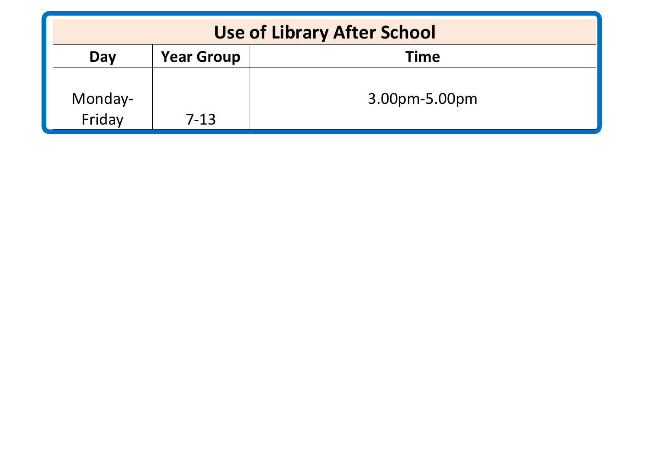| <b>Use of Library After School</b> |                   |               |  |  |
|------------------------------------|-------------------|---------------|--|--|
| Day                                | <b>Year Group</b> | <b>Time</b>   |  |  |
| Monday-<br>Friday                  | 7-13              | 3.00pm-5.00pm |  |  |